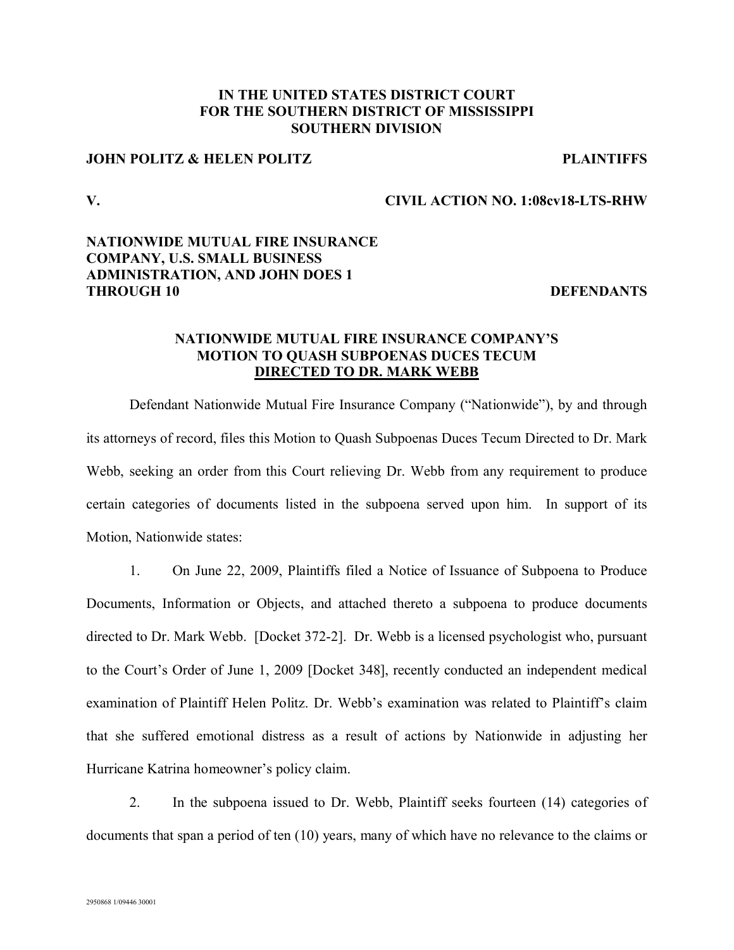### **IN THE UNITED STATES DISTRICT COURT FOR THE SOUTHERN DISTRICT OF MISSISSIPPI SOUTHERN DIVISION**

# **JOHN POLITZ & HELEN POLITZ PLAINTIFFS**

#### **V. CIVIL ACTION NO. 1:08cv18-LTS-RHW**

### **NATIONWIDE MUTUAL FIRE INSURANCE COMPANY, U.S. SMALL BUSINESS ADMINISTRATION, AND JOHN DOES 1 THROUGH 10** DEFENDANTS

# **NATIONWIDE MUTUAL FIRE INSURANCE COMPANY'S MOTION TO QUASH SUBPOENAS DUCES TECUM DIRECTED TO DR. MARK WEBB**

Defendant Nationwide Mutual Fire Insurance Company ("Nationwide"), by and through its attorneys of record, files this Motion to Quash Subpoenas Duces Tecum Directed to Dr. Mark Webb, seeking an order from this Court relieving Dr. Webb from any requirement to produce certain categories of documents listed in the subpoena served upon him. In support of its Motion, Nationwide states:

1. On June 22, 2009, Plaintiffs filed a Notice of Issuance of Subpoena to Produce Documents, Information or Objects, and attached thereto a subpoena to produce documents directed to Dr. Mark Webb. [Docket 372-2]. Dr. Webb is a licensed psychologist who, pursuant to the Court's Order of June 1, 2009 [Docket 348], recently conducted an independent medical examination of Plaintiff Helen Politz. Dr. Webb's examination was related to Plaintiff's claim that she suffered emotional distress as a result of actions by Nationwide in adjusting her Hurricane Katrina homeowner's policy claim.

2. In the subpoena issued to Dr. Webb, Plaintiff seeks fourteen (14) categories of documents that span a period of ten (10) years, many of which have no relevance to the claims or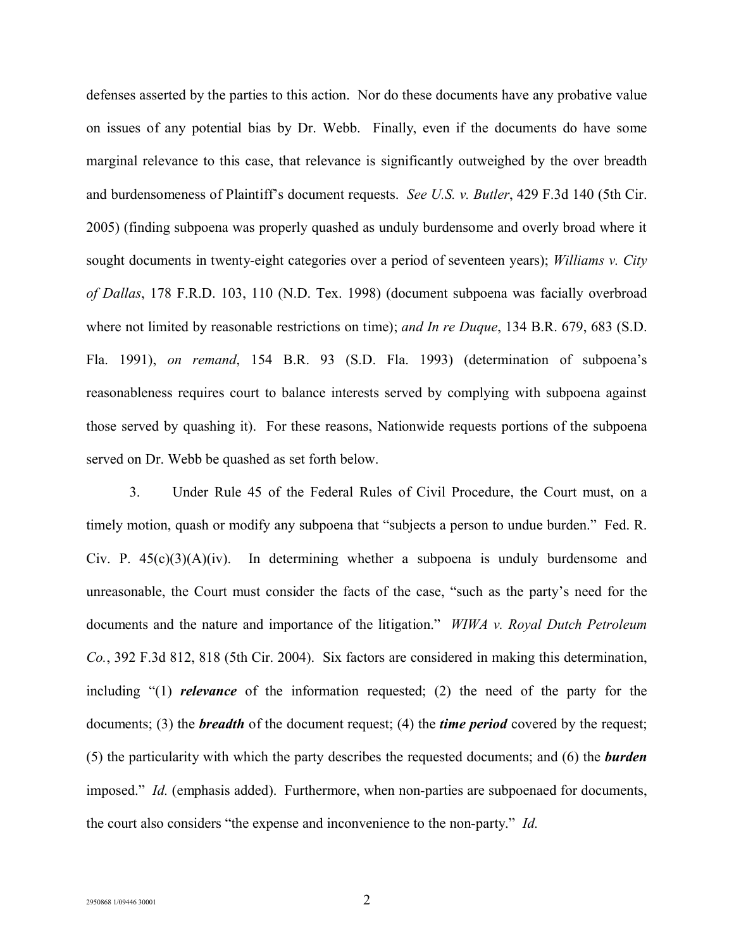defenses asserted by the parties to this action. Nor do these documents have any probative value on issues of any potential bias by Dr. Webb. Finally, even if the documents do have some marginal relevance to this case, that relevance is significantly outweighed by the over breadth and burdensomeness of Plaintiff's document requests. *See U.S. v. Butler*, 429 F.3d 140 (5th Cir. 2005) (finding subpoena was properly quashed as unduly burdensome and overly broad where it sought documents in twenty-eight categories over a period of seventeen years); *Williams v. City of Dallas*, 178 F.R.D. 103, 110 (N.D. Tex. 1998) (document subpoena was facially overbroad where not limited by reasonable restrictions on time); *and In re Duque*, 134 B.R. 679, 683 (S.D. Fla. 1991), *on remand*, 154 B.R. 93 (S.D. Fla. 1993) (determination of subpoena's reasonableness requires court to balance interests served by complying with subpoena against those served by quashing it). For these reasons, Nationwide requests portions of the subpoena served on Dr. Webb be quashed as set forth below.

3. Under Rule 45 of the Federal Rules of Civil Procedure, the Court must, on a timely motion, quash or modify any subpoena that "subjects a person to undue burden." Fed. R. Civ. P.  $45(c)(3)(A)(iv)$ . In determining whether a subpoena is unduly burdensome and unreasonable, the Court must consider the facts of the case, "such as the party's need for the documents and the nature and importance of the litigation." *WIWA v. Royal Dutch Petroleum Co.*, 392 F.3d 812, 818 (5th Cir. 2004). Six factors are considered in making this determination, including "(1) *relevance* of the information requested; (2) the need of the party for the documents; (3) the *breadth* of the document request; (4) the *time period* covered by the request; (5) the particularity with which the party describes the requested documents; and (6) the *burden* imposed." *Id.* (emphasis added). Furthermore, when non-parties are subpoenaed for documents, the court also considers "the expense and inconvenience to the non-party." *Id.*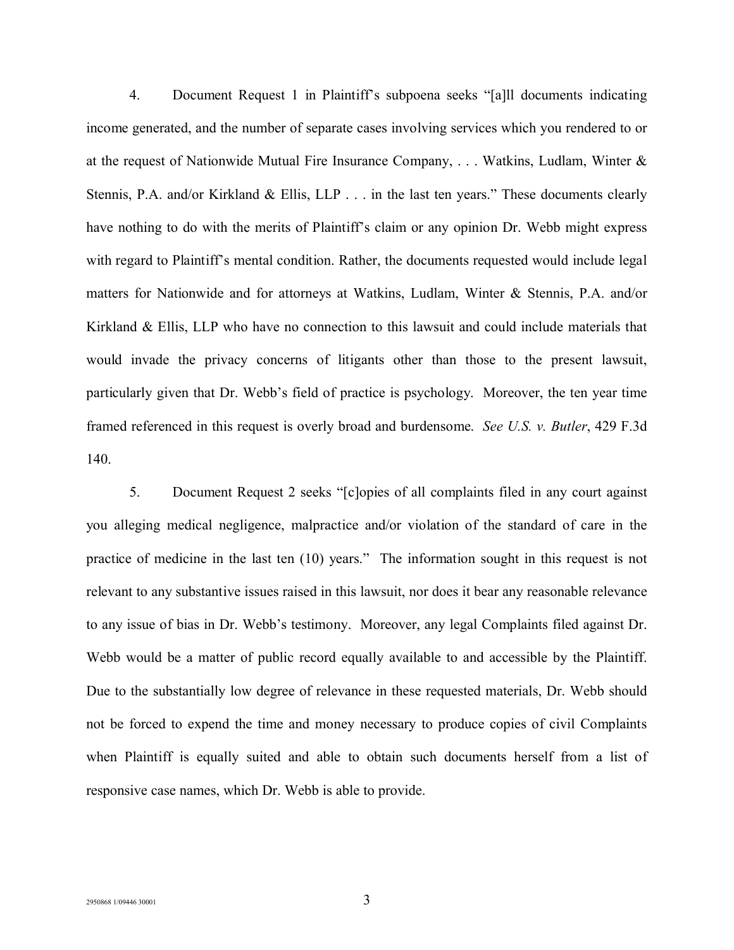4. Document Request 1 in Plaintiff's subpoena seeks "[a]ll documents indicating income generated, and the number of separate cases involving services which you rendered to or at the request of Nationwide Mutual Fire Insurance Company, . . . Watkins, Ludlam, Winter & Stennis, P.A. and/or Kirkland & Ellis, LLP . . . in the last ten years." These documents clearly have nothing to do with the merits of Plaintiff's claim or any opinion Dr. Webb might express with regard to Plaintiff's mental condition. Rather, the documents requested would include legal matters for Nationwide and for attorneys at Watkins, Ludlam, Winter & Stennis, P.A. and/or Kirkland & Ellis, LLP who have no connection to this lawsuit and could include materials that would invade the privacy concerns of litigants other than those to the present lawsuit, particularly given that Dr. Webb's field of practice is psychology. Moreover, the ten year time framed referenced in this request is overly broad and burdensome. *See U.S. v. Butler*, 429 F.3d 140.

5. Document Request 2 seeks "[c]opies of all complaints filed in any court against you alleging medical negligence, malpractice and/or violation of the standard of care in the practice of medicine in the last ten (10) years." The information sought in this request is not relevant to any substantive issues raised in this lawsuit, nor does it bear any reasonable relevance to any issue of bias in Dr. Webb's testimony. Moreover, any legal Complaints filed against Dr. Webb would be a matter of public record equally available to and accessible by the Plaintiff. Due to the substantially low degree of relevance in these requested materials, Dr. Webb should not be forced to expend the time and money necessary to produce copies of civil Complaints when Plaintiff is equally suited and able to obtain such documents herself from a list of responsive case names, which Dr. Webb is able to provide.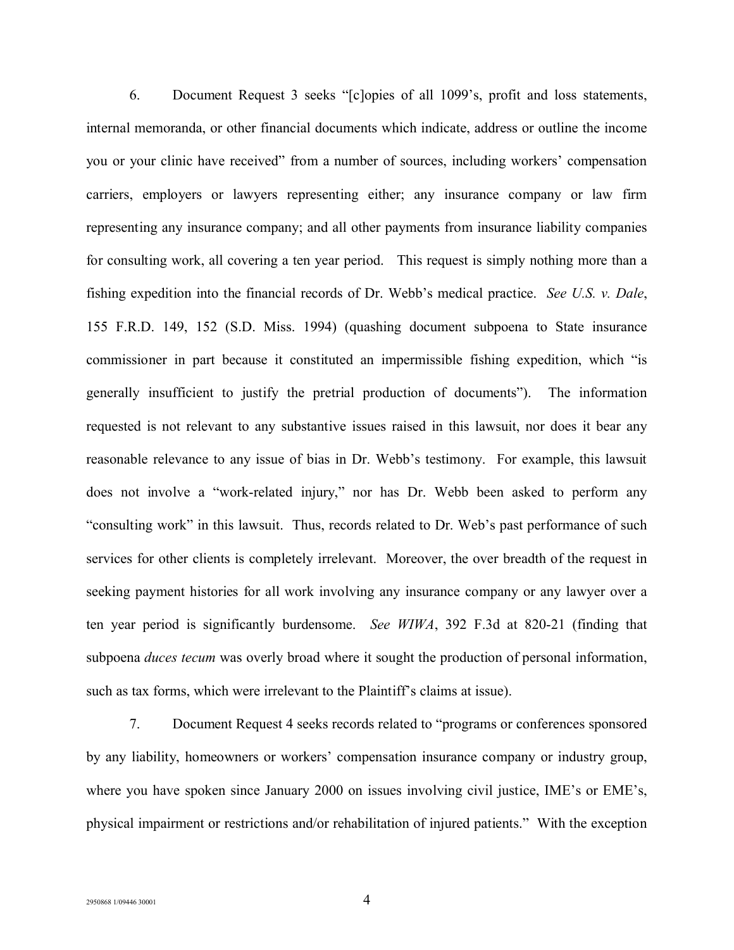6. Document Request 3 seeks "[c]opies of all 1099's, profit and loss statements, internal memoranda, or other financial documents which indicate, address or outline the income you or your clinic have received" from a number of sources, including workers' compensation carriers, employers or lawyers representing either; any insurance company or law firm representing any insurance company; and all other payments from insurance liability companies for consulting work, all covering a ten year period. This request is simply nothing more than a fishing expedition into the financial records of Dr. Webb's medical practice. *See U.S. v. Dale*, 155 F.R.D. 149, 152 (S.D. Miss. 1994) (quashing document subpoena to State insurance commissioner in part because it constituted an impermissible fishing expedition, which "is generally insufficient to justify the pretrial production of documents"). The information requested is not relevant to any substantive issues raised in this lawsuit, nor does it bear any reasonable relevance to any issue of bias in Dr. Webb's testimony. For example, this lawsuit does not involve a "work-related injury," nor has Dr. Webb been asked to perform any "consulting work" in this lawsuit. Thus, records related to Dr. Web's past performance of such services for other clients is completely irrelevant. Moreover, the over breadth of the request in seeking payment histories for all work involving any insurance company or any lawyer over a ten year period is significantly burdensome. *See WIWA*, 392 F.3d at 820-21 (finding that subpoena *duces tecum* was overly broad where it sought the production of personal information, such as tax forms, which were irrelevant to the Plaintiff's claims at issue).

7. Document Request 4 seeks records related to "programs or conferences sponsored by any liability, homeowners or workers' compensation insurance company or industry group, where you have spoken since January 2000 on issues involving civil justice, IME's or EME's, physical impairment or restrictions and/or rehabilitation of injured patients." With the exception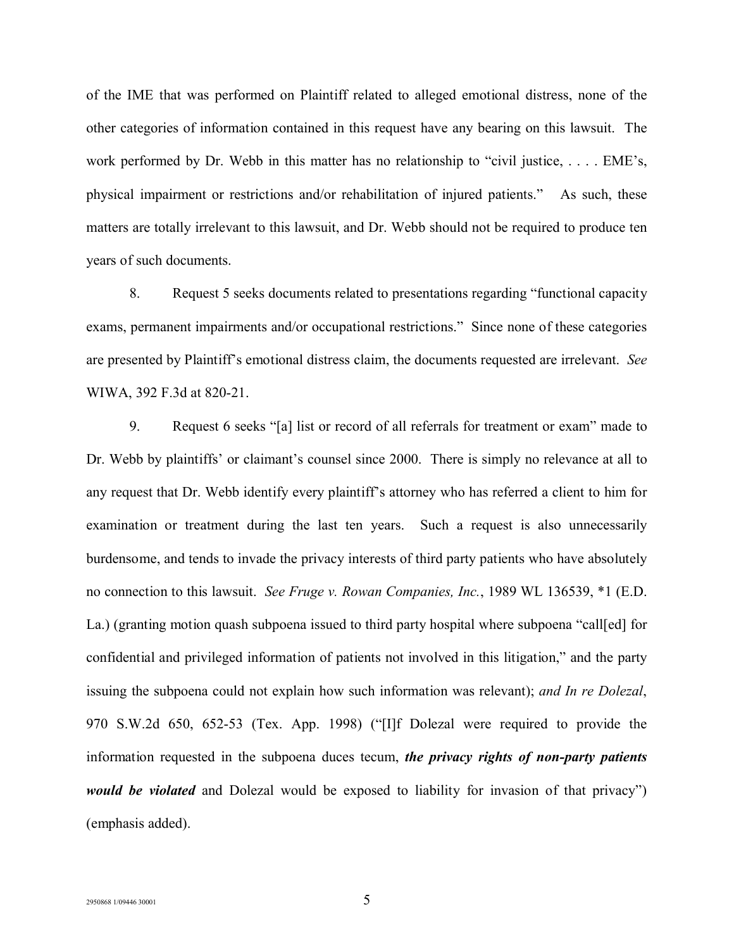of the IME that was performed on Plaintiff related to alleged emotional distress, none of the other categories of information contained in this request have any bearing on this lawsuit. The work performed by Dr. Webb in this matter has no relationship to "civil justice, . . . . EME's, physical impairment or restrictions and/or rehabilitation of injured patients." As such, these matters are totally irrelevant to this lawsuit, and Dr. Webb should not be required to produce ten years of such documents.

8. Request 5 seeks documents related to presentations regarding "functional capacity exams, permanent impairments and/or occupational restrictions." Since none of these categories are presented by Plaintiff's emotional distress claim, the documents requested are irrelevant. *See*  WIWA, 392 F.3d at 820-21.

9. Request 6 seeks "[a] list or record of all referrals for treatment or exam" made to Dr. Webb by plaintiffs' or claimant's counsel since 2000. There is simply no relevance at all to any request that Dr. Webb identify every plaintiff's attorney who has referred a client to him for examination or treatment during the last ten years. Such a request is also unnecessarily burdensome, and tends to invade the privacy interests of third party patients who have absolutely no connection to this lawsuit. *See Fruge v. Rowan Companies, Inc.*, 1989 WL 136539, \*1 (E.D. La.) (granting motion quash subpoena issued to third party hospital where subpoena "call[ed] for confidential and privileged information of patients not involved in this litigation," and the party issuing the subpoena could not explain how such information was relevant); *and In re Dolezal*, 970 S.W.2d 650, 652-53 (Tex. App. 1998) ("[I]f Dolezal were required to provide the information requested in the subpoena duces tecum, *the privacy rights of non-party patients would be violated* and Dolezal would be exposed to liability for invasion of that privacy") (emphasis added).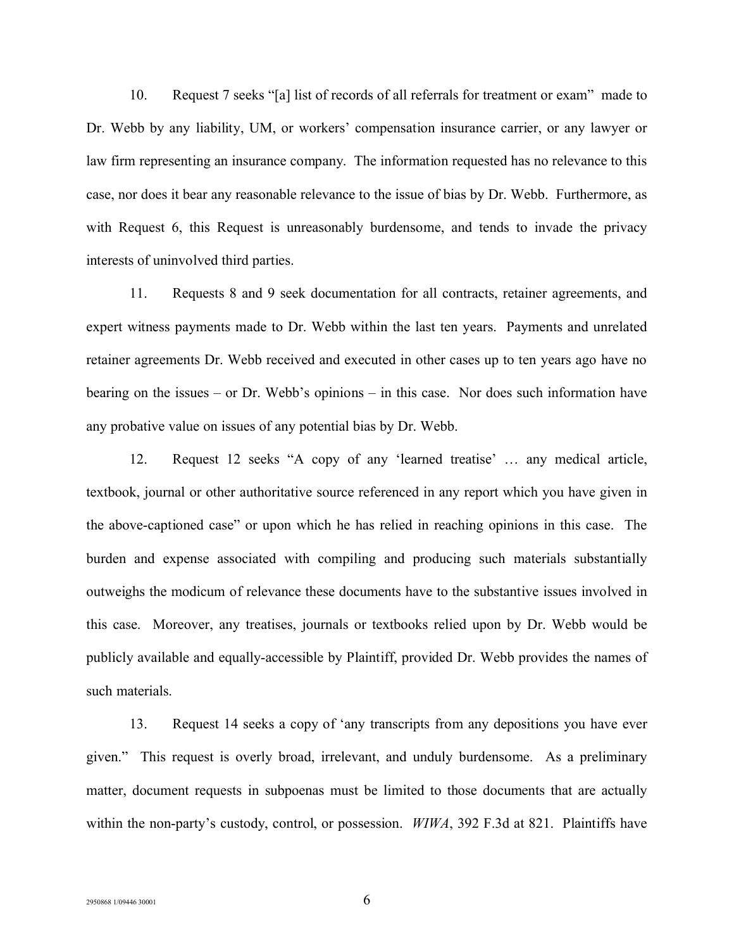10. Request 7 seeks "[a] list of records of all referrals for treatment or exam" made to Dr. Webb by any liability, UM, or workers' compensation insurance carrier, or any lawyer or law firm representing an insurance company. The information requested has no relevance to this case, nor does it bear any reasonable relevance to the issue of bias by Dr. Webb. Furthermore, as with Request 6, this Request is unreasonably burdensome, and tends to invade the privacy interests of uninvolved third parties.

11. Requests 8 and 9 seek documentation for all contracts, retainer agreements, and expert witness payments made to Dr. Webb within the last ten years. Payments and unrelated retainer agreements Dr. Webb received and executed in other cases up to ten years ago have no bearing on the issues – or Dr. Webb's opinions – in this case. Nor does such information have any probative value on issues of any potential bias by Dr. Webb.

12. Request 12 seeks "A copy of any 'learned treatise' … any medical article, textbook, journal or other authoritative source referenced in any report which you have given in the above-captioned case" or upon which he has relied in reaching opinions in this case. The burden and expense associated with compiling and producing such materials substantially outweighs the modicum of relevance these documents have to the substantive issues involved in this case. Moreover, any treatises, journals or textbooks relied upon by Dr. Webb would be publicly available and equally-accessible by Plaintiff, provided Dr. Webb provides the names of such materials.

13. Request 14 seeks a copy of 'any transcripts from any depositions you have ever given." This request is overly broad, irrelevant, and unduly burdensome. As a preliminary matter, document requests in subpoenas must be limited to those documents that are actually within the non-party's custody, control, or possession. *WIWA*, 392 F.3d at 821. Plaintiffs have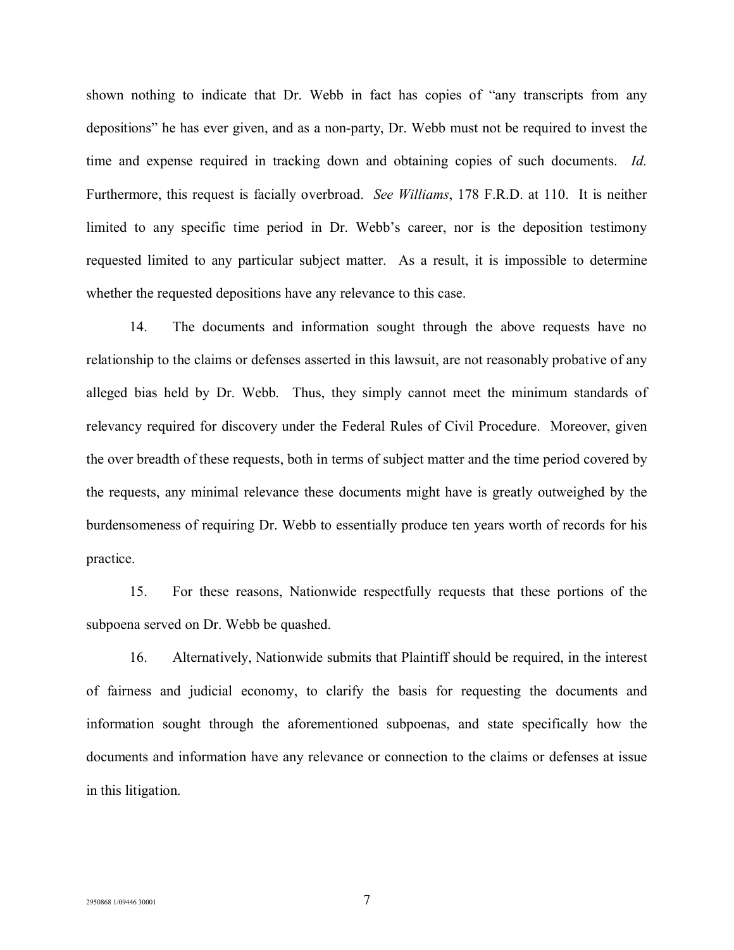shown nothing to indicate that Dr. Webb in fact has copies of "any transcripts from any depositions" he has ever given, and as a non-party, Dr. Webb must not be required to invest the time and expense required in tracking down and obtaining copies of such documents. *Id.*  Furthermore, this request is facially overbroad. *See Williams*, 178 F.R.D. at 110. It is neither limited to any specific time period in Dr. Webb's career, nor is the deposition testimony requested limited to any particular subject matter. As a result, it is impossible to determine whether the requested depositions have any relevance to this case.

14. The documents and information sought through the above requests have no relationship to the claims or defenses asserted in this lawsuit, are not reasonably probative of any alleged bias held by Dr. Webb. Thus, they simply cannot meet the minimum standards of relevancy required for discovery under the Federal Rules of Civil Procedure. Moreover, given the over breadth of these requests, both in terms of subject matter and the time period covered by the requests, any minimal relevance these documents might have is greatly outweighed by the burdensomeness of requiring Dr. Webb to essentially produce ten years worth of records for his practice.

15. For these reasons, Nationwide respectfully requests that these portions of the subpoena served on Dr. Webb be quashed.

16. Alternatively, Nationwide submits that Plaintiff should be required, in the interest of fairness and judicial economy, to clarify the basis for requesting the documents and information sought through the aforementioned subpoenas, and state specifically how the documents and information have any relevance or connection to the claims or defenses at issue in this litigation.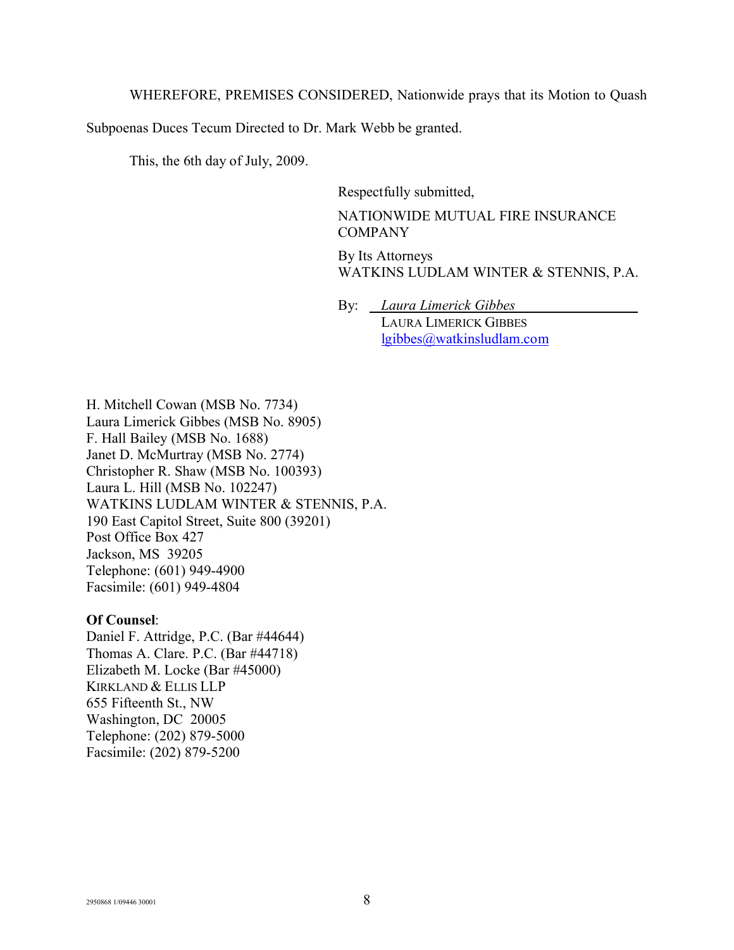WHEREFORE, PREMISES CONSIDERED, Nationwide prays that its Motion to Quash

Subpoenas Duces Tecum Directed to Dr. Mark Webb be granted.

This, the 6th day of July, 2009.

Respectfully submitted,

NATIONWIDE MUTUAL FIRE INSURANCE COMPANY

By Its Attorneys WATKINS LUDLAM WINTER & STENNIS, P.A.

By: *Laura Limerick Gibbes\_\_\_\_\_\_\_\_\_\_\_\_\_\_\_\_\_*

LAURA LIMERICK GIBBES lgibbes@watkinsludlam.com

H. Mitchell Cowan (MSB No. 7734) Laura Limerick Gibbes (MSB No. 8905) F. Hall Bailey (MSB No. 1688) Janet D. McMurtray (MSB No. 2774) Christopher R. Shaw (MSB No. 100393) Laura L. Hill (MSB No. 102247) WATKINS LUDLAM WINTER & STENNIS, P.A. 190 East Capitol Street, Suite 800 (39201) Post Office Box 427 Jackson, MS 39205 Telephone: (601) 949-4900 Facsimile: (601) 949-4804

#### **Of Counsel**:

Daniel F. Attridge, P.C. (Bar #44644) Thomas A. Clare. P.C. (Bar #44718) Elizabeth M. Locke (Bar #45000) KIRKLAND & ELLIS LLP 655 Fifteenth St., NW Washington, DC 20005 Telephone: (202) 879-5000 Facsimile: (202) 879-5200